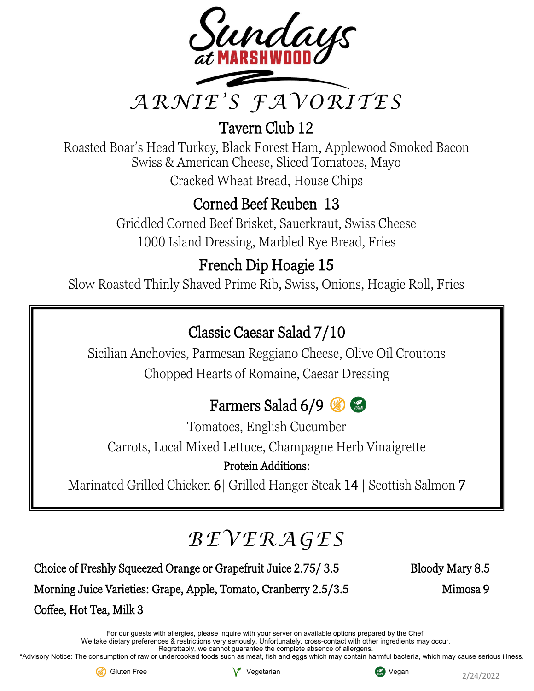

Tavern Club 12

Roasted Boar's Head Turkey, Black Forest Ham, Applewood Smoked Bacon Swiss & American Cheese, Sliced Tomatoes, Mayo Cracked Wheat Bread, House Chips

### Corned Beef Reuben 13

Griddled Corned Beef Brisket, Sauerkraut, Swiss Cheese 1000 Island Dressing, Marbled Rye Bread, Fries

### French Dip Hoagie 15

Slow Roasted Thinly Shaved Prime Rib, Swiss, Onions, Hoagie Roll, Fries

### Classic Caesar Salad 7/10

Sicilian Anchovies, Parmesan Reggiano Cheese, Olive Oil Croutons Chopped Hearts of Romaine, Caesar Dressing

### Farmers Salad 6/9

Tomatoes, English Cucumber Carrots, Local Mixed Lettuce, Champagne Herb Vinaigrette

#### Protein Additions:

Marinated Grilled Chicken 6| Grilled Hanger Steak 14 | Scottish Salmon 7

# *BEVERAGES*

Choice of Freshly Squeezed Orange or Grapefruit Juice 2.75/ 3.5 Bloody Mary 8.5

Morning Juice Varieties: Grape, Apple, Tomato, Cranberry 2.5/3.5 Mimosa 9

Coffee, Hot Tea, Milk 3

For our guests with allergies, please inquire with your server on available options prepared by the Chef. We take dietary preferences & restrictions very seriously. Unfortunately, cross-contact with other ingredients may occur.

Regrettably, we cannot guarantee the complete absence of allergens.

\*Advisory Notice: The consumption of raw or undercooked foods such as meat, fish and eggs which may contain harmful bacteria, which may cause serious illness.